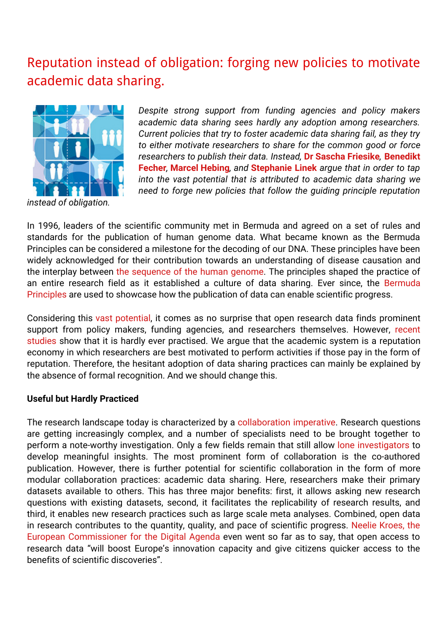# [Reputation](http://blogs.lse.ac.uk/impactofsocialsciences/2015/06/02/reputation-instead-of-obligation-new-policies-to-motivate-academic-data-sharing/) instead of obligation: forging new policies to motivate academic data sharing.



*instead of obligation.*

*Despite strong support from funding agencies and policy makers academic data sharing sees hardly any adoption among researchers. Current policies that try to foster academic data sharing fail, as they try to either motivate researchers to share for the common good or force researchers to publish their data. Instead,* **Dr Sascha Friesike***,* **Benedikt Fecher***,* **Marcel Hebing***, and* **Stephanie Linek** *argue that in order to tap into the vast potential that is attributed to academic data sharing we need to forge new policies that follow the guiding principle reputation*

In 1996, leaders of the scientific community met in Bermuda and agreed on a set of rules and standards for the publication of human genome data. What became known as the Bermuda Principles can be considered a milestone for the decoding of our DNA. These principles have been widely acknowledged for their contribution towards an understanding of disease causation and the interplay between the [sequence](http://www.ncbi.nlm.nih.gov/pubmed/11181995) of the human genome. The principles shaped the practice of an entire research field as it [established](http://www.nih.gov/about/reporting-preclinical-research.htm) a culture of data sharing. Ever since, the Bermuda Principles are used to showcase how the publication of data can enable scientific progress.

Considering this vast [potential](http://www.nsf.gov/pubs/policydocs/pappguide/nsf13001/aag_6.jsp#VID4), it comes as no surprise that open research data finds prominent support from policy makers, funding agencies, and researchers themselves. However, [recent](http://journals.plos.org/plosone/article?id=10.1371/journal.pone.0021101) [studies](http://www.sciencedirect.com/science/article/pii/S0048733314000699) show that it is hardly ever practised. We argue that the academic system is a reputation economy in which researchers are best motivated to perform activities if those pay in the form of reputation. Therefore, the hesitant adoption of data sharing practices can mainly be explained by the absence of formal recognition. And we should change this.

#### **Useful but Hardly Practiced**

The research landscape today is characterized by a [collaboration](http://www.springer.com/gb/book/9783319064673) imperative. Research questions are getting increasingly complex, and a number of specialists need to be brought together to perform a note-worthy investigation. Only a few fields remain that still allow lone [investigators](http://www.sciencemag.org/content/316/5827/1036.abstractN2) to develop meaningful insights. The most prominent form of collaboration is the co-authored publication. However, there is further potential for scientific collaboration in the form of more modular collaboration practices: academic data sharing. Here, researchers make their primary datasets available to others. This has three major benefits: first, it allows asking new research questions with existing datasets, second, it facilitates the replicability of research results, and third, it enables new research practices such as large scale meta analyses. Combined, open data in research contributes to the quantity, quality, and pace of scientific progress. Neelie Kroes, the European [Commissioner](http://europa.eu/rapid/press-release_SPEECH-12-258_en.htm) for the Digital Agenda even went so far as to say, that open access to research data "will boost Europe's innovation capacity and give citizens quicker access to the benefits of scientific discoveries".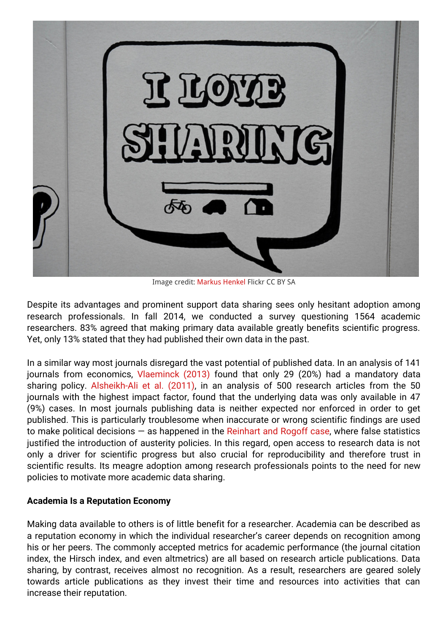

Image credit: [Markus](https://www.flickr.com/photos/ebbesand/) Henkel Flickr CC BY SA

Despite its advantages and prominent support data sharing sees only hesitant adoption among research professionals. In fall 2014, we conducted a survey questioning 1564 academic researchers. 83% agreed that making primary data available greatly benefits scientific progress. Yet, only 13% stated that they had published their own data in the past.

In a similar way most journals disregard the vast potential of published data. In an analysis of 141 journals from economics, [Vlaeminck](http://liber.library.uu.nl/index.php/lq/article/view/8082) (2013) found that only 29 (20%) had a mandatory data sharing policy. [Alsheikh-Ali](http://journals.plos.org/plosone/article?id=10.1371/journal.pone.0024357) et al. (2011), in an analysis of 500 research articles from the 50 journals with the highest impact factor, found that the underlying data was only available in 47 (9%) cases. In most journals publishing data is neither expected nor enforced in order to get published. This is particularly troublesome when inaccurate or wrong scientific findings are used to make political decisions  $-$  as happened in the [Reinhart](http://cje.oxfordjournals.org/content/early/2013/12/17/cje.bet075) and Rogoff case, where false statistics justified the introduction of austerity policies. In this regard, open access to research data is not only a driver for scientific progress but also crucial for reproducibility and therefore trust in scientific results. Its meagre adoption among research professionals points to the need for new policies to motivate more academic data sharing.

## **Academia Is a Reputation Economy**

Making data available to others is of little benefit for a researcher. Academia can be described as a reputation economy in which the individual researcher's career depends on recognition among his or her peers. The commonly accepted metrics for academic performance (the journal citation index, the Hirsch index, and even altmetrics) are all based on research article publications. Data sharing, by contrast, receives almost no recognition. As a result, researchers are geared solely towards article publications as they invest their time and resources into activities that can increase their reputation.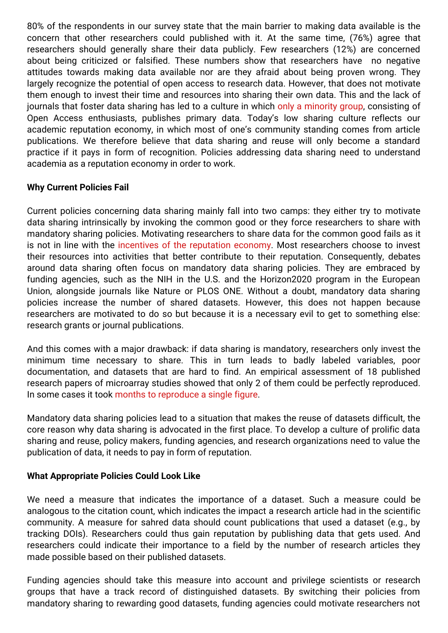80% of the respondents in our survey state that the main barrier to making data available is the concern that other researchers could published with it. At the same time, (76%) agree that researchers should generally share their data publicly. Few researchers (12%) are concerned about being criticized or falsified. These numbers show that researchers have no negative attitudes towards making data available nor are they afraid about being proven wrong. They largely recognize the potential of open access to research data. However, that does not motivate them enough to invest their time and resources into sharing their own data. This and the lack of journals that foster data sharing has led to a culture in which only a [minority](http://www.sciencedirect.com/science/article/pii/S0048733314000699) group, consisting of Open Access enthusiasts, publishes primary data. Today's low sharing culture reflects our academic reputation economy, in which most of one's community standing comes from article publications. We therefore believe that data sharing and reuse will only become a standard practice if it pays in form of recognition. Policies addressing data sharing need to understand academia as a reputation economy in order to work.

## **Why Current Policies Fail**

Current policies concerning data sharing mainly fall into two camps: they either try to motivate data sharing intrinsically by invoking the common good or they force researchers to share with mandatory sharing policies. Motivating researchers to share data for the common good fails as it is not in line with the incentives of the [reputation](http://www.nature.com/news/2009/090909/full/461160a.html) economy. Most researchers choose to invest their resources into activities that better contribute to their reputation. Consequently, debates around data sharing often focus on mandatory data sharing policies. They are embraced by funding agencies, such as the NIH in the U.S. and the Horizon2020 program in the European Union, alongside journals like Nature or PLOS ONE. Without a doubt, mandatory data sharing policies increase the number of shared datasets. However, this does not happen because researchers are motivated to do so but because it is a necessary evil to get to something else: research grants or journal publications.

And this comes with a major drawback: if data sharing is mandatory, researchers only invest the minimum time necessary to share. This in turn leads to badly labeled variables, poor documentation, and datasets that are hard to find. An empirical assessment of 18 published research papers of microarray studies showed that only 2 of them could be perfectly reproduced. In some cases it took months to [reproduce](http://www.nature.com/ng/journal/v41/n2/full/ng.295.html) a single figure.

Mandatory data sharing policies lead to a situation that makes the reuse of datasets difficult, the core reason why data sharing is advocated in the first place. To develop a culture of prolific data sharing and reuse, policy makers, funding agencies, and research organizations need to value the publication of data, it needs to pay in form of reputation.

## **What Appropriate Policies Could Look Like**

We need a measure that indicates the importance of a dataset. Such a measure could be analogous to the citation count, which indicates the impact a research article had in the scientific community. A measure for sahred data should count publications that used a dataset (e.g., by tracking DOIs). Researchers could thus gain reputation by publishing data that gets used. And researchers could indicate their importance to a field by the number of research articles they made possible based on their published datasets.

Funding agencies should take this measure into account and privilege scientists or research groups that have a track record of distinguished datasets. By switching their policies from mandatory sharing to rewarding good datasets, funding agencies could motivate researchers not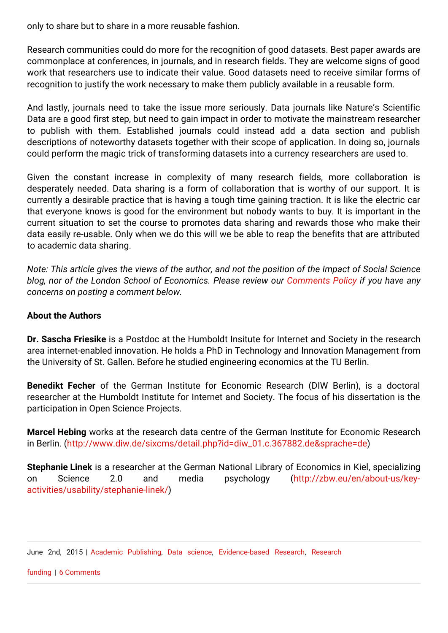only to share but to share in a more reusable fashion.

Research communities could do more for the recognition of good datasets. Best paper awards are commonplace at conferences, in journals, and in research fields. They are welcome signs of good work that researchers use to indicate their value. Good datasets need to receive similar forms of recognition to justify the work necessary to make them publicly available in a reusable form.

And lastly, journals need to take the issue more seriously. Data journals like Nature's Scientific Data are a good first step, but need to gain impact in order to motivate the mainstream researcher to publish with them. Established journals could instead add a data section and publish descriptions of noteworthy datasets together with their scope of application. In doing so, journals could perform the magic trick of transforming datasets into a currency researchers are used to.

Given the constant increase in complexity of many research fields, more collaboration is desperately needed. Data sharing is a form of collaboration that is worthy of our support. It is currently a desirable practice that is having a tough time gaining traction. It is like the electric car that everyone knows is good for the environment but nobody wants to buy. It is important in the current situation to set the course to promotes data sharing and rewards those who make their data easily re-usable. Only when we do this will we be able to reap the benefits that are attributed to academic data sharing.

Note: This article gives the views of the author, and not the position of the Impact of Social Science *blog, nor of the London School of Economics. Please review our [Comments](http://blogs.lse.ac.uk/impactofsocialsciences/about-the-blog/comments-policy/) Policy if you have any concerns on posting a comment below.*

#### **About the Authors**

**Dr. Sascha Friesike** is a Postdoc at the Humboldt Insitute for Internet and Society in the research area internet-enabled innovation. He holds a PhD in Technology and Innovation Management from the University of St. Gallen. Before he studied engineering economics at the TU Berlin.

**Benedikt Fecher** of the German Institute for Economic Research (DIW Berlin), is a doctoral researcher at the Humboldt Institute for Internet and Society. The focus of his dissertation is the participation in Open Science Projects.

**Marcel Hebing** works at the research data centre of the German Institute for Economic Research in Berlin. [\(http://www.diw.de/sixcms/detail.php?id=diw\\_01.c.367882.de&sprache=de](http://www.diw.de/sixcms/detail.php?id=diw_01.c.367882.de&sprache=de))

**Stephanie Linek** is a researcher at the German National Library of Economics in Kiel, specializing on Science 2.0 and media psychology (http://zbw.eu/en/about-us/key[activities/usability/stephanie-linek/\)](http://zbw.eu/en/about-us/key-activities/usability/stephanie-linek/)

June 2nd, 2015 | Academic [Publishing,](http://blogs.lse.ac.uk/impactofsocialsciences/category/academic-publishing/) Data [science,](http://blogs.lse.ac.uk/impactofsocialsciences/category/data-science/) [E](http://blogs.lse.ac.uk/impactofsocialsciences/category/research-funding/)[vidence-based](http://blogs.lse.ac.uk/impactofsocialsciences/category/evidence-based-research/) Research, Research